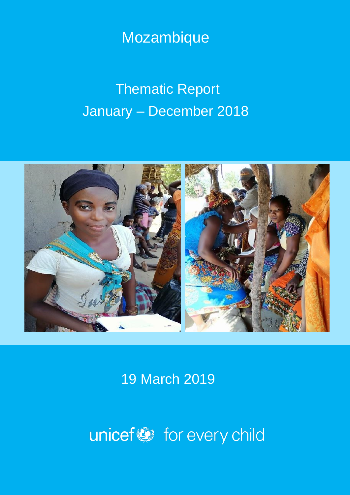## Mozambique

# Thematic Report January – December 2018



19 March 2019

unicef<sup>®</sup> for every child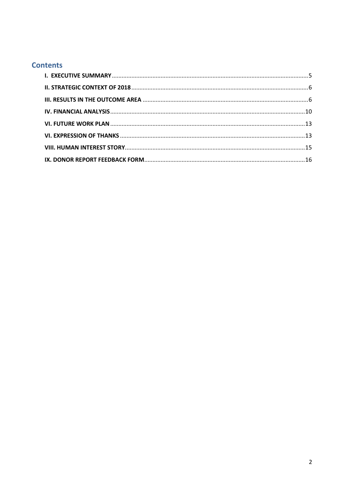#### **Contents**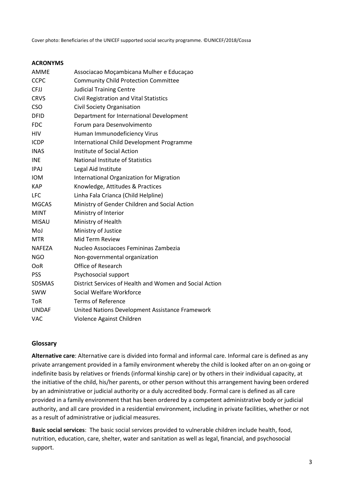Cover photo: Beneficiaries of the UNICEF supported social security programme. ©UNICEF/2018/Cossa

#### **ACRONYMS**

| <b>AMME</b>   | Associacao Moçambicana Mulher e Educaçao                |
|---------------|---------------------------------------------------------|
| <b>CCPC</b>   | <b>Community Child Protection Committee</b>             |
| CFJJ          | <b>Judicial Training Centre</b>                         |
| <b>CRVS</b>   | Civil Registration and Vital Statistics                 |
| <b>CSO</b>    | Civil Society Organisation                              |
| <b>DFID</b>   | Department for International Development                |
| <b>FDC</b>    | Forum para Desenvolvimento                              |
| <b>HIV</b>    | Human Immunodeficiency Virus                            |
| <b>ICDP</b>   | International Child Development Programme               |
| <b>INAS</b>   | Institute of Social Action                              |
| <b>INE</b>    | <b>National Institute of Statistics</b>                 |
| <b>IPAJ</b>   | Legal Aid Institute                                     |
| <b>IOM</b>    | <b>International Organization for Migration</b>         |
| <b>KAP</b>    | Knowledge, Attitudes & Practices                        |
| <b>LFC</b>    | Linha Fala Crianca (Child Helpline)                     |
| <b>MGCAS</b>  | Ministry of Gender Children and Social Action           |
| <b>MINT</b>   | Ministry of Interior                                    |
| <b>MISAU</b>  | Ministry of Health                                      |
| MoJ           | Ministry of Justice                                     |
| <b>MTR</b>    | Mid Term Review                                         |
| <b>NAFEZA</b> | Nucleo Associacoes Femininas Zambezia                   |
| <b>NGO</b>    | Non-governmental organization                           |
| <b>OoR</b>    | Office of Research                                      |
| <b>PSS</b>    | Psychosocial support                                    |
| <b>SDSMAS</b> | District Services of Health and Women and Social Action |
| <b>SWW</b>    | Social Welfare Workforce                                |
| <b>ToR</b>    | <b>Terms of Reference</b>                               |
| <b>UNDAF</b>  | United Nations Development Assistance Framework         |
| <b>VAC</b>    | Violence Against Children                               |

#### **Glossary**

**Alternative care**: Alternative care is divided into formal and informal care. Informal care is defined as any private arrangement provided in a family environment whereby the child is looked after on an on-going or indefinite basis by relatives or friends (informal kinship care) or by others in their individual capacity, at the initiative of the child, his/her parents, or other person without this arrangement having been ordered by an administrative or judicial authority or a duly accredited body. Formal care is defined as all care provided in a family environment that has been ordered by a competent administrative body or judicial authority, and all care provided in a residential environment, including in private facilities, whether or not as a result of administrative or judicial measures.

**Basic social services**: The basic social services provided to vulnerable children include health, food, nutrition, education, care, shelter, water and sanitation as well as legal, financial, and psychosocial support.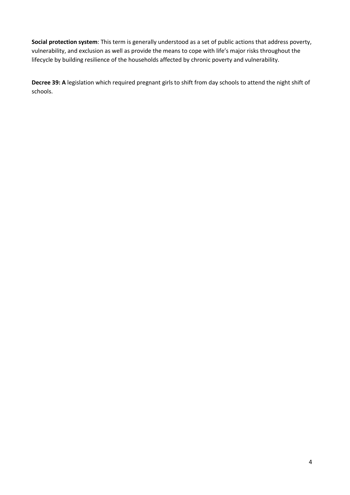**Social protection system**: This term is generally understood as a set of public actions that address poverty, vulnerability, and exclusion as well as provide the means to cope with life's major risks throughout the lifecycle by building resilience of the households affected by chronic poverty and vulnerability.

**Decree 39: A** legislation which required pregnant girls to shift from day schools to attend the night shift of schools.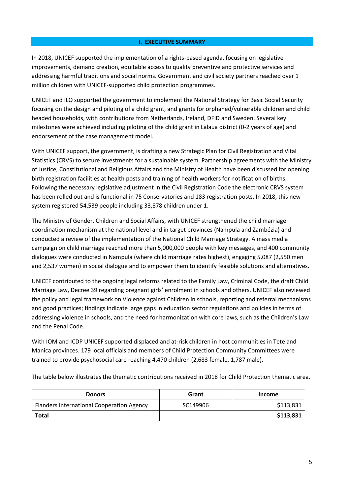#### **I. EXECUTIVE SUMMARY**

<span id="page-4-0"></span>In 2018, UNICEF supported the implementation of a rights-based agenda, focusing on legislative improvements, demand creation, equitable access to quality preventive and protective services and addressing harmful traditions and social norms. Government and civil society partners reached over 1 million children with UNICEF-supported child protection programmes.

UNICEF and ILO supported the government to implement the National Strategy for Basic Social Security focusing on the design and piloting of a child grant, and grants for orphaned/vulnerable children and child headed households, with contributions from Netherlands, Ireland, DFID and Sweden. Several key milestones were achieved including piloting of the child grant in Lalaua district (0-2 years of age) and endorsement of the case management model.

With UNICEF support, the government, is drafting a new Strategic Plan for Civil Registration and Vital Statistics (CRVS) to secure investments for a sustainable system. Partnership agreements with the Ministry of Justice, Constitutional and Religious Affairs and the Ministry of Health have been discussed for opening birth registration facilities at health posts and training of health workers for notification of births. Following the necessary legislative adjustment in the Civil Registration Code the electronic CRVS system has been rolled out and is functional in 75 Conservatories and 183 registration posts. In 2018, this new system registered 54,539 people including 33,878 children under 1.

The Ministry of Gender, Children and Social Affairs, with UNICEF strengthened the child marriage coordination mechanism at the national level and in target provinces (Nampula and Zambézia) and conducted a review of the implementation of the National Child Marriage Strategy. A mass media campaign on child marriage reached more than 5,000,000 people with key messages, and 400 community dialogues were conducted in Nampula (where child marriage rates highest), engaging 5,087 (2,550 men and 2,537 women) in social dialogue and to empower them to identify feasible solutions and alternatives.

UNICEF contributed to the ongoing legal reforms related to the Family Law, Criminal Code, the draft Child Marriage Law, Decree 39 regarding pregnant girls' enrolment in schools and others. UNICEF also reviewed the policy and legal framework on Violence against Children in schools, reporting and referral mechanisms and good practices; findings indicate large gaps in education sector regulations and policies in terms of addressing violence in schools, and the need for harmonization with core laws, such as the Children's Law and the Penal Code.

With IOM and ICDP UNICEF supported displaced and at-risk children in host communities in Tete and Manica provinces. 179 local officials and members of Child Protection Community Committees were trained to provide psychosocial care reaching 4,470 children (2,683 female, 1,787 male).

The table below illustrates the thematic contributions received in 2018 for Child Protection thematic area.

| <b>Donors</b>                                    | Grant    | <b>Income</b> |
|--------------------------------------------------|----------|---------------|
| <b>Flanders International Cooperation Agency</b> | SC149906 | \$113,831     |
| <b>Total</b>                                     |          | \$113,831     |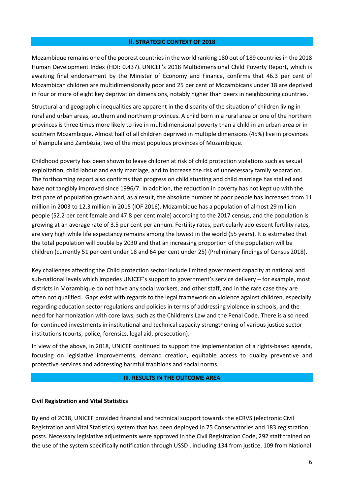#### **II. STRATEGIC CONTEXT OF 2018**

<span id="page-5-0"></span>Mozambique remains one of the poorest countries in the world ranking 180 out of 189 countries in the 2018 Human Development Index (HDI: 0.437). UNICEF's 2018 Multidimensional Child Poverty Report, which is awaiting final endorsement by the Minister of Economy and Finance, confirms that 46.3 per cent of Mozambican children are multidimensionally poor and 25 per cent of Mozambicans under 18 are deprived in four or more of eight key deprivation dimensions, notably higher than peers in neighbouring countries.

Structural and geographic inequalities are apparent in the disparity of the situation of children living in rural and urban areas, southern and northern provinces. A child born in a rural area or one of the northern provinces is three times more likely to live in multidimensional poverty than a child in an urban area or in southern Mozambique. Almost half of all children deprived in multiple dimensions (45%) live in provinces of Nampula and Zambézia, two of the most populous provinces of Mozambique.

Childhood poverty has been shown to leave children at risk of child protection violations such as sexual exploitation, child labour and early marriage, and to increase the risk of unnecessary family separation. The forthcoming report also confirms that progress on child stunting and child marriage has stalled and have not tangibly improved since 1996/7. In addition, the reduction in poverty has not kept up with the fast pace of population growth and, as a result, the absolute number of poor people has increased from 11 million in 2003 to 12.3 million in 2015 (IOF 2016). Mozambique has a population of almost 29 million people (52.2 per cent female and 47.8 per cent male) according to the 2017 census, and the population is growing at an average rate of 3.5 per cent per annum. Fertility rates, particularly adolescent fertility rates, are very high while life expectancy remains among the lowest in the world (55 years). It is estimated that the total population will double by 2030 and that an increasing proportion of the population will be children (currently 51 per cent under 18 and 64 per cent under 25) (Preliminary findings of Census 2018).

Key challenges affecting the Child protection sector include limited government capacity at national and sub-national levels which impedes UNICEF's support to government's service delivery – for example, most districts in Mozambique do not have any social workers, and other staff, and in the rare case they are often not qualified. Gaps exist with regards to the legal framework on violence against children, especially regarding education sector regulations and policies in terms of addressing violence in schools, and the need for harmonization with core laws, such as the Children's Law and the Penal Code. There is also need for continued investments in institutional and technical capacity strengthening of various justice sector institutions (courts, police, forensics, legal aid, prosecution).

In view of the above, in 2018, UNICEF continued to support the implementation of a rights-based agenda, focusing on legislative improvements, demand creation, equitable access to quality preventive and protective services and addressing harmful traditions and social norms.

#### **III. RESULTS IN THE OUTCOME AREA**

#### <span id="page-5-1"></span>**Civil Registration and Vital Statistics**

By end of 2018, UNICEF provided financial and technical support towards the eCRVS (electronic Civil Registration and Vital Statistics) system that has been deployed in 75 Conservatories and 183 registration posts. Necessary legislative adjustments were approved in the Civil Registration Code, 292 staff trained on the use of the system specifically notification through USSD , including 134 from justice, 109 from National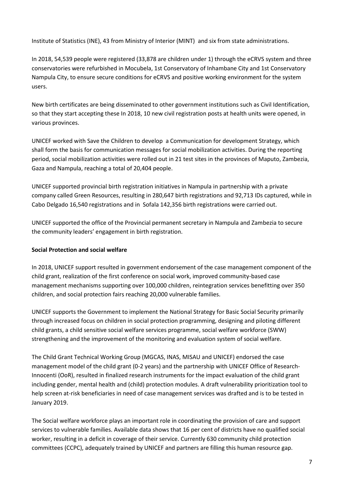Institute of Statistics (INE), 43 from Ministry of Interior (MINT) and six from state administrations.

In 2018, 54,539 people were registered (33,878 are children under 1) through the eCRVS system and three conservatories were refurbished in Mocubela, 1st Conservatory of Inhambane City and 1st Conservatory Nampula City, to ensure secure conditions for eCRVS and positive working environment for the system users.

New birth certificates are being disseminated to other government institutions such as Civil Identification, so that they start accepting these In 2018, 10 new civil registration posts at health units were opened, in various provinces.

UNICEF worked with Save the Children to develop a Communication for development Strategy, which shall form the basis for communication messages for social mobilization activities. During the reporting period, social mobilization activities were rolled out in 21 test sites in the provinces of Maputo, Zambezia, Gaza and Nampula, reaching a total of 20,404 people.

UNICEF supported provincial birth registration initiatives in Nampula in partnership with a private company called Green Resources, resulting in 280,647 birth registrations and 92,713 IDs captured, while in Cabo Delgado 16,540 registrations and in Sofala 142,356 birth registrations were carried out.

UNICEF supported the office of the Provincial permanent secretary in Nampula and Zambezia to secure the community leaders' engagement in birth registration.

#### **Social Protection and social welfare**

In 2018, UNICEF support resulted in government endorsement of the case management component of the child grant, realization of the first conference on social work, improved community-based case management mechanisms supporting over 100,000 children, reintegration services benefitting over 350 children, and social protection fairs reaching 20,000 vulnerable families.

UNICEF supports the Government to implement the National Strategy for Basic Social Security primarily through increased focus on children in social protection programming, designing and piloting different child grants, a child sensitive social welfare services programme, social welfare workforce (SWW) strengthening and the improvement of the monitoring and evaluation system of social welfare.

The Child Grant Technical Working Group (MGCAS, INAS, MISAU and UNICEF) endorsed the case management model of the child grant (0-2 years) and the partnership with UNICEF Office of Research-Innocenti (OoR), resulted in finalized research instruments for the impact evaluation of the child grant including gender, mental health and (child) protection modules. A draft vulnerability prioritization tool to help screen at-risk beneficiaries in need of case management services was drafted and is to be tested in January 2019.

The Social welfare workforce plays an important role in coordinating the provision of care and support services to vulnerable families. Available data shows that 16 per cent of districts have no qualified social worker, resulting in a deficit in coverage of their service. Currently 630 community child protection committees (CCPC), adequately trained by UNICEF and partners are filling this human resource gap.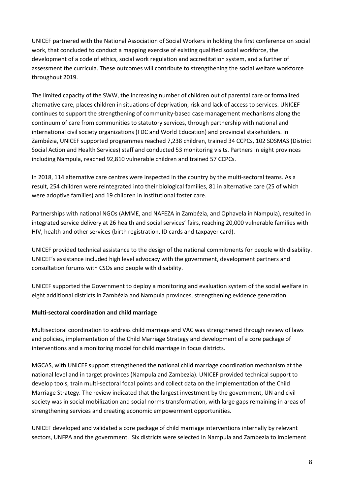UNICEF partnered with the National Association of Social Workers in holding the first conference on social work, that concluded to conduct a mapping exercise of existing qualified social workforce, the development of a code of ethics, social work regulation and accreditation system, and a further of assessment the curricula. These outcomes will contribute to strengthening the social welfare workforce throughout 2019.

The limited capacity of the SWW, the increasing number of children out of parental care or formalized alternative care, places children in situations of deprivation, risk and lack of access to services. UNICEF continues to support the strengthening of community-based case management mechanisms along the continuum of care from communities to statutory services, through partnership with national and international civil society organizations (FDC and World Education) and provincial stakeholders. In Zambézia, UNICEF supported programmes reached 7,238 children, trained 34 CCPCs, 102 SDSMAS (District Social Action and Health Services) staff and conducted 53 monitoring visits. Partners in eight provinces including Nampula, reached 92,810 vulnerable children and trained 57 CCPCs.

In 2018, 114 alternative care centres were inspected in the country by the multi-sectoral teams. As a result, 254 children were reintegrated into their biological families, 81 in alternative care (25 of which were adoptive families) and 19 children in institutional foster care.

Partnerships with national NGOs (AMME, and NAFEZA in Zambézia, and Ophavela in Nampula), resulted in integrated service delivery at 26 health and social services' fairs, reaching 20,000 vulnerable families with HIV, health and other services (birth registration, ID cards and taxpayer card).

UNICEF provided technical assistance to the design of the national commitments for people with disability. UNICEF's assistance included high level advocacy with the government, development partners and consultation forums with CSOs and people with disability.

UNICEF supported the Government to deploy a monitoring and evaluation system of the social welfare in eight additional districts in Zambézia and Nampula provinces, strengthening evidence generation.

#### **Multi-sectoral coordination and child marriage**

Multisectoral coordination to address child marriage and VAC was strengthened through review of laws and policies, implementation of the Child Marriage Strategy and development of a core package of interventions and a monitoring model for child marriage in focus districts.

MGCAS, with UNICEF support strengthened the national child marriage coordination mechanism at the national level and in target provinces (Nampula and Zambezia). UNICEF provided technical support to develop tools, train multi-sectoral focal points and collect data on the implementation of the Child Marriage Strategy. The review indicated that the largest investment by the government, UN and civil society was in social mobilization and social norms transformation, with large gaps remaining in areas of strengthening services and creating economic empowerment opportunities.

UNICEF developed and validated a core package of child marriage interventions internally by relevant sectors, UNFPA and the government. Six districts were selected in Nampula and Zambezia to implement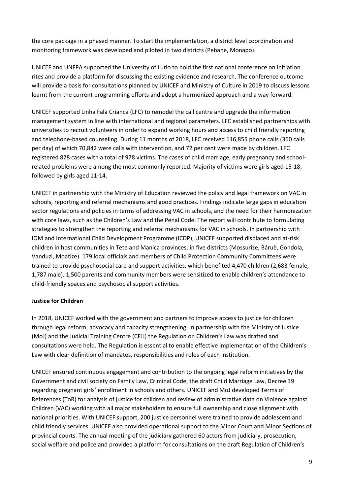the core package in a phased manner. To start the implementation, a district level coordination and monitoring framework was developed and piloted in two districts (Pebane, Monapo).

UNICEF and UNFPA supported the University of Lurio to hold the first national conference on initiation rites and provide a platform for discussing the existing evidence and research. The conference outcome will provide a basis for consultations planned by UNICEF and Ministry of Culture in 2019 to discuss lessons learnt from the current programming efforts and adopt a harmonized approach and a way forward.

UNICEF supported Linha Fala Crianca (LFC) to remodel the call centre and upgrade the information management system in line with international and regional parameters. LFC established partnerships with universities to recruit volunteers in order to expand working hours and access to child friendly reporting and telephone-based counseling. During 11 months of 2018, LFC received 116,855 phone calls (360 calls per day) of which 70,842 were calls with intervention, and 72 per cent were made by children. LFC registered 828 cases with a total of 978 victims. The cases of child marriage, early pregnancy and schoolrelated problems were among the most commonly reported. Majority of victims were girls aged 15-18, followed by girls aged 11-14.

UNICEF in partnership with the Ministry of Education reviewed the policy and legal framework on VAC in schools, reporting and referral mechanisms and good practices. Findings indicate large gaps in education sector regulations and policies in terms of addressing VAC in schools, and the need for their harmonization with core laws, such as the Children's Law and the Penal Code. The report will contribute to formulating strategies to strengthen the reporting and referral mechanisms for VAC in schools. In partnership with IOM and International Child Development Programme (ICDP), UNICEF supported displaced and at-risk children in host communities in Tete and Manica provinces, in five districts (Mossurize, Báruè, Gondola, Vanduzi, Moatize). 179 local officials and members of Child Protection Community Committees were trained to provide psychosocial care and support activities, which benefited 4,470 children (2,683 female, 1,787 male). 1,500 parents and community members were sensitized to enable children's attendance to child-friendly spaces and psychosocial support activities.

#### **Justice for Children**

In 2018, UNICEF worked with the government and partners to improve access to justice for children through legal reform, advocacy and capacity strengthening. In partnership with the Ministry of Justice (MoJ) and the Judicial Training Centre (CFJJ) the Regulation on Children's Law was drafted and consultations were held. The Regulation is essential to enable effective implementation of the Children's Law with clear definition of mandates, responsibilities and roles of each institution.

UNICEF ensured continuous engagement and contribution to the ongoing legal reform initiatives by the Government and civil society on Family Law, Criminal Code, the draft Child Marriage Law, Decree 39 regarding pregnant girls' enrollment in schools and others. UNICEF and MoJ developed Terms of References (ToR) for analysis of justice for children and review of administrative data on Violence against Children (VAC) working with all major stakeholders to ensure full ownership and close alignment with national priorities. With UNICEF support, 200 justice personnel were trained to provide adolescent and child friendly services. UNICEF also provided operational support to the Minor Court and Minor Sections of provincial courts. The annual meeting of the judiciary gathered 60 actors from judiciary, prosecution, social welfare and police and provided a platform for consultations on the draft Regulation of Children's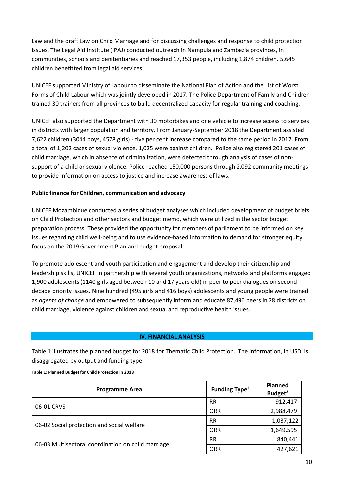Law and the draft Law on Child Marriage and for discussing challenges and response to child protection issues. The Legal Aid Institute (IPAJ) conducted outreach in Nampula and Zambezia provinces, in communities, schools and penitentiaries and reached 17,353 people, including 1,874 children. 5,645 children benefitted from legal aid services.

UNICEF supported Ministry of Labour to disseminate the National Plan of Action and the List of Worst Forms of Child Labour which was jointly developed in 2017. The Police Department of Family and Children trained 30 trainers from all provinces to build decentralized capacity for regular training and coaching.

UNICEF also supported the Department with 30 motorbikes and one vehicle to increase access to services in districts with larger population and territory. From January-September 2018 the Department assisted 7,622 children (3044 boys, 4578 girls) - five per cent increase compared to the same period in 2017. From a total of 1,202 cases of sexual violence, 1,025 were against children. Police also registered 201 cases of child marriage, which in absence of criminalization, were detected through analysis of cases of nonsupport of a child or sexual violence. Police reached 150,000 persons through 2,092 community meetings to provide information on access to justice and increase awareness of laws.

#### **Public finance for Children, communication and advocacy**

UNICEF Mozambique conducted a series of budget analyses which included development of budget briefs on Child Protection and other sectors and budget memo, which were utilized in the sector budget preparation process. These provided the opportunity for members of parliament to be informed on key issues regarding child well-being and to use evidence-based information to demand for stronger equity focus on the 2019 Government Plan and budget proposal.

To promote adolescent and youth participation and engagement and develop their citizenship and leadership skills, UNICEF in partnership with several youth organizations, networks and platforms engaged 1,900 adolescents (1140 girls aged between 10 and 17 years old) in peer to peer dialogues on second decade priority issues. Nine hundred (495 girls and 416 boys) adolescents and young people were trained as *agents of change* and empowered to subsequently inform and educate 87,496 peers in 28 districts on child marriage, violence against children and sexual and reproductive health issues.

#### **IV. FINANCIAL ANALYSIS**

<span id="page-9-0"></span>Table 1 illustrates the planned budget for 2018 for Thematic Child Protection. The information, in USD, is disaggregated by output and funding type.

**Table 1: Planned Budget for Child Protection in 2018**

| <b>Programme Area</b>                              | <b>Funding Type<sup>1</sup></b> | <b>Planned</b><br>Budget <sup>2</sup> |
|----------------------------------------------------|---------------------------------|---------------------------------------|
|                                                    | <b>RR</b>                       | 912,417                               |
| 06-01 CRVS                                         | <b>ORR</b>                      | 2,988,479                             |
| 06-02 Social protection and social welfare         | <b>RR</b>                       | 1,037,122                             |
|                                                    | <b>ORR</b>                      | 1,649,595                             |
|                                                    | <b>RR</b>                       | 840,441                               |
| 06-03 Multisectoral coordination on child marriage | <b>ORR</b>                      | 427,621                               |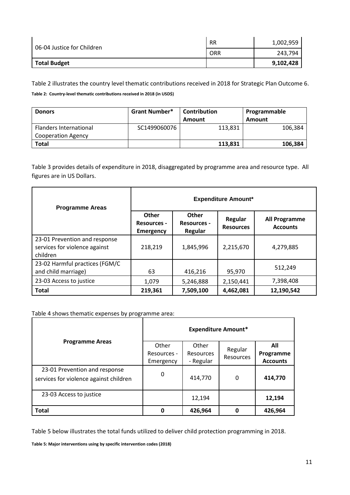| 06-04 Justice for Children | <b>RR</b> | 1,002,959 |
|----------------------------|-----------|-----------|
|                            | ORR       | 243,794   |
| <b>Total Budget</b>        |           | 9,102,428 |

Table 2 illustrates the country level thematic contributions received in 2018 for Strategic Plan Outcome 6. **Table 2: Country-level thematic contributions received in 2018 (in USD\$)**

| <b>Donors</b>                 | <b>Grant Number*</b> | <b>Contribution</b> | Programmable |  |
|-------------------------------|----------------------|---------------------|--------------|--|
|                               |                      | Amount              | Amount       |  |
| <b>Flanders International</b> | SC1499060076         | 113,831             | 106,384      |  |
| <b>Cooperation Agency</b>     |                      |                     |              |  |
| Total                         |                      | 113,831             | 106,384      |  |

Table 3 provides details of expenditure in 2018, disaggregated by programme area and resource type. All figures are in US Dollars.

| <b>Programme Areas</b>                                                     | <b>Expenditure Amount*</b>                             |                                               |                             |                                         |  |
|----------------------------------------------------------------------------|--------------------------------------------------------|-----------------------------------------------|-----------------------------|-----------------------------------------|--|
|                                                                            | <b>Other</b><br><b>Resources -</b><br><b>Emergency</b> | <b>Other</b><br><b>Resources -</b><br>Regular | Regular<br><b>Resources</b> | <b>All Programme</b><br><b>Accounts</b> |  |
| 23-01 Prevention and response<br>services for violence against<br>children | 218,219                                                | 1,845,996                                     | 2,215,670                   | 4,279,885                               |  |
| 23-02 Harmful practices (FGM/C<br>and child marriage)                      | 63                                                     | 416,216                                       | 95,970                      | 512,249                                 |  |
| 23-03 Access to justice                                                    | 1,079                                                  | 5,246,888                                     | 2,150,441                   | 7,398,408                               |  |
| <b>Total</b>                                                               | 219,361                                                | 7,509,100                                     | 4,462,081                   | 12,190,542                              |  |

Table 4 shows thematic expenses by programme area:

|                                                                         | <b>Expenditure Amount*</b> |           |           |                 |
|-------------------------------------------------------------------------|----------------------------|-----------|-----------|-----------------|
| <b>Programme Areas</b>                                                  | Other                      | Other     | Regular   | All             |
|                                                                         | Resources -                | Resources | Resources | Programme       |
|                                                                         | Emergency                  | - Regular |           | <b>Accounts</b> |
| 23-01 Prevention and response<br>services for violence against children | 0                          | 414,770   | 0         | 414,770         |
|                                                                         |                            |           |           |                 |
| 23-03 Access to justice                                                 |                            | 12,194    |           | 12,194          |
| <b>Total</b>                                                            | 0                          | 426,964   | Ω         | 426,964         |

Table 5 below illustrates the total funds utilized to deliver child protection programming in 2018.

**Table 5: Major interventions using by specific intervention codes (2018)**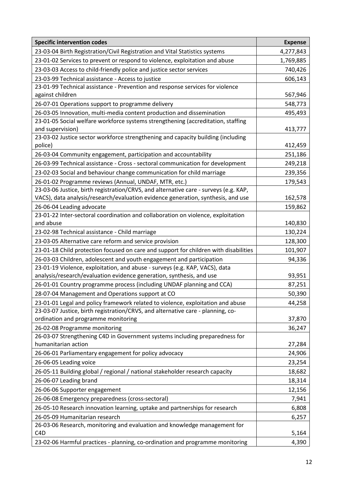| <b>Specific intervention codes</b>                                                                 | <b>Expense</b> |
|----------------------------------------------------------------------------------------------------|----------------|
| 23-03-04 Birth Registration/Civil Registration and Vital Statistics systems                        | 4,277,843      |
| 23-01-02 Services to prevent or respond to violence, exploitation and abuse                        | 1,769,885      |
| 23-03-03 Access to child-friendly police and justice sector services                               | 740,426        |
| 23-03-99 Technical assistance - Access to justice                                                  | 606,143        |
| 23-01-99 Technical assistance - Prevention and response services for violence                      |                |
| against children                                                                                   | 567,946        |
| 26-07-01 Operations support to programme delivery                                                  | 548,773        |
| 26-03-05 Innovation, multi-media content production and dissemination                              | 495,493        |
| 23-01-05 Social welfare workforce systems strengthening (accreditation, staffing                   |                |
| and supervision)                                                                                   | 413,777        |
| 23-03-02 Justice sector workforce strengthening and capacity building (including<br>police)        | 412,459        |
| 26-03-04 Community engagement, participation and accountability                                    | 251,186        |
| 26-03-99 Technical assistance - Cross - sectoral communication for development                     | 249,218        |
| 23-02-03 Social and behaviour change communication for child marriage                              | 239,356        |
| 26-01-02 Programme reviews (Annual, UNDAF, MTR, etc.)                                              | 179,543        |
| 23-03-06 Justice, birth registration/CRVS, and alternative care - surveys (e.g. KAP,               |                |
| VACS), data analysis/research/evaluation evidence generation, synthesis, and use                   | 162,578        |
| 26-06-04 Leading advocate                                                                          | 159,862        |
| 23-01-22 Inter-sectoral coordination and collaboration on violence, exploitation                   |                |
| and abuse                                                                                          | 140,830        |
| 23-02-98 Technical assistance - Child marriage                                                     | 130,224        |
| 23-03-05 Alternative care reform and service provision                                             | 128,300        |
| 23-01-18 Child protection focused on care and support for children with disabilities               | 101,907        |
| 26-03-03 Children, adolescent and youth engagement and participation                               | 94,336         |
| 23-01-19 Violence, exploitation, and abuse - surveys (e.g. KAP, VACS), data                        |                |
| analysis/research/evaluation evidence generation, synthesis, and use                               | 93,951         |
| 26-01-01 Country programme process (including UNDAF planning and CCA)                              | 87,251         |
| 28-07-04 Management and Operations support at CO                                                   | 50,390         |
| 23-01-01 Legal and policy framework related to violence, exploitation and abuse                    | 44,258         |
| 23-03-07 Justice, birth registration/CRVS, and alternative care - planning, co-                    |                |
| ordination and programme monitoring                                                                | 37,870         |
| 26-02-08 Programme monitoring                                                                      | 36,247         |
| 26-03-07 Strengthening C4D in Government systems including preparedness for<br>humanitarian action | 27,284         |
| 26-06-01 Parliamentary engagement for policy advocacy                                              | 24,906         |
| 26-06-05 Leading voice                                                                             | 23,254         |
| 26-05-11 Building global / regional / national stakeholder research capacity                       | 18,682         |
| 26-06-07 Leading brand                                                                             | 18,314         |
| 26-06-06 Supporter engagement                                                                      | 12,156         |
| 26-06-08 Emergency preparedness (cross-sectoral)                                                   | 7,941          |
| 26-05-10 Research innovation learning, uptake and partnerships for research                        | 6,808          |
| 26-05-09 Humanitarian research                                                                     | 6,257          |
| 26-03-06 Research, monitoring and evaluation and knowledge management for                          |                |
| C <sub>4</sub> D                                                                                   | 5,164          |
| 23-02-06 Harmful practices - planning, co-ordination and programme monitoring                      | 4,390          |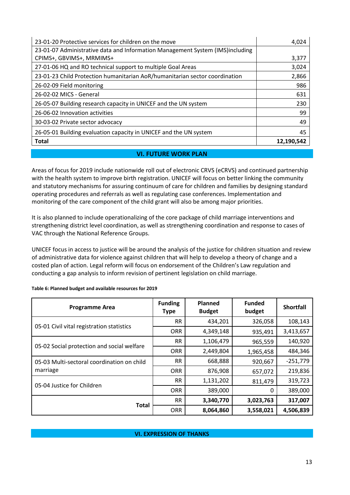| 23-01-20 Protective services for children on the move                         | 4,024      |
|-------------------------------------------------------------------------------|------------|
| 23-01-07 Administrative data and Information Management System (IMS)including |            |
| CPIMS+, GBVIMS+, MRMIMS+                                                      | 3,377      |
| 27-01-06 HQ and RO technical support to multiple Goal Areas                   | 3,024      |
| 23-01-23 Child Protection humanitarian AoR/humanitarian sector coordination   | 2,866      |
| 26-02-09 Field monitoring                                                     | 986        |
| 26-02-02 MICS - General                                                       | 631        |
| 26-05-07 Building research capacity in UNICEF and the UN system               | 230        |
| 26-06-02 Innovation activities                                                | 99         |
| 30-03-02 Private sector advocacy                                              | 49         |
| 26-05-01 Building evaluation capacity in UNICEF and the UN system             | 45         |
| <b>Total</b>                                                                  | 12,190,542 |

#### **VI. FUTURE WORK PLAN**

<span id="page-12-0"></span>Areas of focus for 2019 include nationwide roll out of electronic CRVS (eCRVS) and continued partnership with the health system to improve birth registration. UNICEF will focus on better linking the community and statutory mechanisms for assuring continuum of care for children and families by designing standard operating procedures and referrals as well as regulating case conferences. Implementation and monitoring of the care component of the child grant will also be among major priorities.

It is also planned to include operationalizing of the core package of child marriage interventions and strengthening district level coordination, as well as strengthening coordination and response to cases of VAC through the National Reference Groups.

UNICEF focus in access to justice will be around the analysis of the justice for children situation and review of administrative data for violence against children that will help to develop a theory of change and a costed plan of action. Legal reform will focus on endorsement of the Children's Law regulation and conducting a gap analysis to inform revision of pertinent legislation on child marriage.

| <b>Programme Area</b>                      | <b>Funding</b><br><b>Type</b> | <b>Planned</b><br><b>Budget</b> | <b>Funded</b><br>budget | <b>Shortfall</b> |
|--------------------------------------------|-------------------------------|---------------------------------|-------------------------|------------------|
| 05-01 Civil vital registration statistics  | <b>RR</b>                     | 434,201                         | 326,058                 | 108,143          |
|                                            | <b>ORR</b>                    | 4,349,148                       | 935,491                 | 3,413,657        |
| 05-02 Social protection and social welfare | <b>RR</b>                     | 1,106,479                       | 965,559                 | 140,920          |
|                                            | <b>ORR</b>                    | 2,449,804                       | 1,965,458               | 484,346          |
| 05-03 Multi-sectoral coordination on child | <b>RR</b>                     | 668,888                         | 920,667                 | $-251,779$       |
| marriage                                   | <b>ORR</b>                    | 876,908                         | 657,072                 | 219,836          |
| 05-04 Justice for Children                 | <b>RR</b>                     | 1,131,202                       | 811,479                 | 319,723          |
|                                            | <b>ORR</b>                    | 389,000                         | Ω                       | 389,000          |
| <b>Total</b>                               | <b>RR</b>                     | 3,340,770                       | 3,023,763               | 317,007          |
|                                            | <b>ORR</b>                    | 8,064,860                       | 3,558,021               | 4,506,839        |

**Table 6: Planned budget and available resources for 2019**

#### <span id="page-12-1"></span>**VI. EXPRESSION OF THANKS**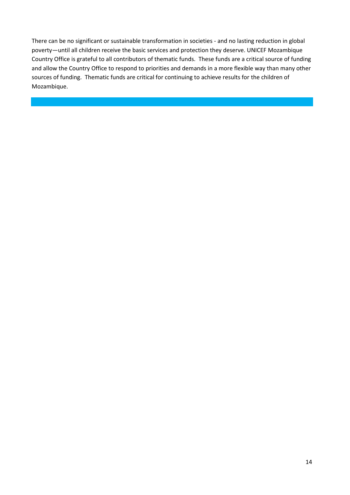There can be no significant or sustainable transformation in societies - and no lasting reduction in global poverty—until all children receive the basic services and protection they deserve. UNICEF Mozambique Country Office is grateful to all contributors of thematic funds. These funds are a critical source of funding and allow the Country Office to respond to priorities and demands in a more flexible way than many other sources of funding. Thematic funds are critical for continuing to achieve results for the children of Mozambique.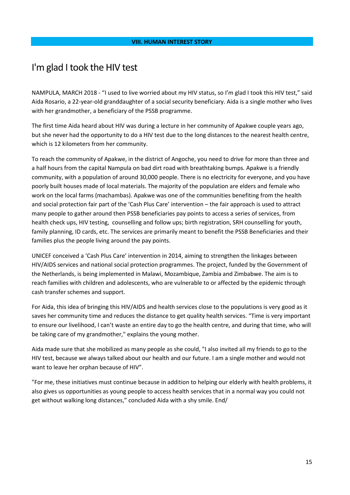### <span id="page-14-0"></span>I'm glad I took the HIV test

NAMPULA, MARCH 2018 - "I used to live worried about my HIV status, so I'm glad I took this HIV test," said Aida Rosario, a 22-year-old granddaughter of a social security beneficiary. Aida is a single mother who lives with her grandmother, a beneficiary of the PSSB programme.

The first time Aida heard about HIV was during a lecture in her community of Apakwe couple years ago, but she never had the opportunity to do a HIV test due to the long distances to the nearest health centre, which is 12 kilometers from her community.

To reach the community of Apakwe, in the district of Angoche, you need to drive for more than three and a half hours from the capital Nampula on bad dirt road with breathtaking bumps. Apakwe is a friendly community, with a population of around 30,000 people. There is no electricity for everyone, and you have poorly built houses made of local materials. The majority of the population are elders and female who work on the local farms (machambas). Apakwe was one of the communities benefiting from the health and social protection fair part of the 'Cash Plus Care' intervention – the fair approach is used to attract many people to gather around then PSSB beneficiaries pay points to access a series of services, from health check ups, HIV testing, counselling and follow ups; birth registration, SRH counselling for youth, family planning, ID cards, etc. The services are primarily meant to benefit the PSSB Beneficiaries and their families plus the people living around the pay points.

UNICEF conceived a 'Cash Plus Care' intervention in 2014, aiming to strengthen the linkages between HIV/AIDS services and national social protection programmes. The project, funded by the Government of the Netherlands, is being implemented in Malawi, Mozambique, Zambia and Zimbabwe. The aim is to reach families with children and adolescents, who are vulnerable to or affected by the epidemic through cash transfer schemes and support.

For Aida, this idea of bringing this HIV/AIDS and health services close to the populations is very good as it saves her community time and reduces the distance to get quality health services. "Time is very important to ensure our livelihood, I can't waste an entire day to go the health centre, and during that time, who will be taking care of my grandmother," explains the young mother.

Aida made sure that she mobilized as many people as she could, "I also invited all my friends to go to the HIV test, because we always talked about our health and our future. I am a single mother and would not want to leave her orphan because of HIV".

"For me, these initiatives must continue because in addition to helping our elderly with health problems, it also gives us opportunities as young people to access health services that in a normal way you could not get without walking long distances," concluded Aida with a shy smile. End/